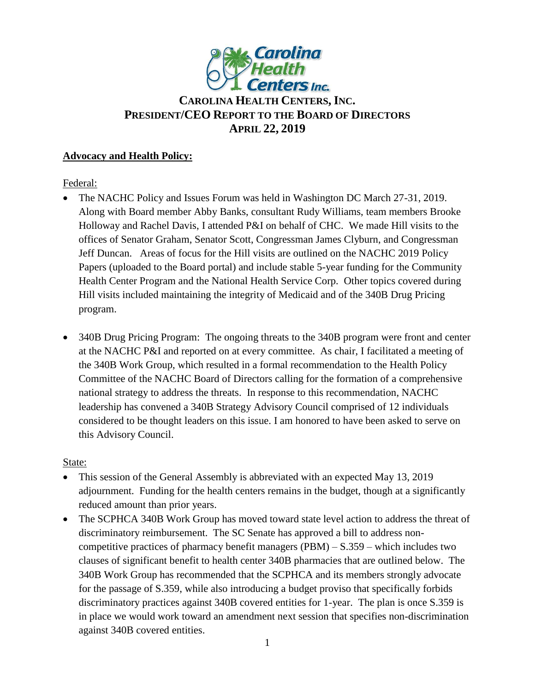

# **CAROLINA HEALTH CENTERS,INC. PRESIDENT/CEO REPORT TO THE BOARD OF DIRECTORS APRIL 22, 2019**

## **Advocacy and Health Policy:**

Federal:

- The NACHC Policy and Issues Forum was held in Washington DC March 27-31, 2019. Along with Board member Abby Banks, consultant Rudy Williams, team members Brooke Holloway and Rachel Davis, I attended P&I on behalf of CHC. We made Hill visits to the offices of Senator Graham, Senator Scott, Congressman James Clyburn, and Congressman Jeff Duncan. Areas of focus for the Hill visits are outlined on the NACHC 2019 Policy Papers (uploaded to the Board portal) and include stable 5-year funding for the Community Health Center Program and the National Health Service Corp. Other topics covered during Hill visits included maintaining the integrity of Medicaid and of the 340B Drug Pricing program.
- 340B Drug Pricing Program: The ongoing threats to the 340B program were front and center at the NACHC P&I and reported on at every committee. As chair, I facilitated a meeting of the 340B Work Group, which resulted in a formal recommendation to the Health Policy Committee of the NACHC Board of Directors calling for the formation of a comprehensive national strategy to address the threats. In response to this recommendation, NACHC leadership has convened a 340B Strategy Advisory Council comprised of 12 individuals considered to be thought leaders on this issue. I am honored to have been asked to serve on this Advisory Council.

State:

- This session of the General Assembly is abbreviated with an expected May 13, 2019 adjournment. Funding for the health centers remains in the budget, though at a significantly reduced amount than prior years.
- The SCPHCA 340B Work Group has moved toward state level action to address the threat of discriminatory reimbursement. The SC Senate has approved a bill to address noncompetitive practices of pharmacy benefit managers  $(PBM) - S.359 -$  which includes two clauses of significant benefit to health center 340B pharmacies that are outlined below. The 340B Work Group has recommended that the SCPHCA and its members strongly advocate for the passage of S.359, while also introducing a budget proviso that specifically forbids discriminatory practices against 340B covered entities for 1-year. The plan is once S.359 is in place we would work toward an amendment next session that specifies non-discrimination against 340B covered entities.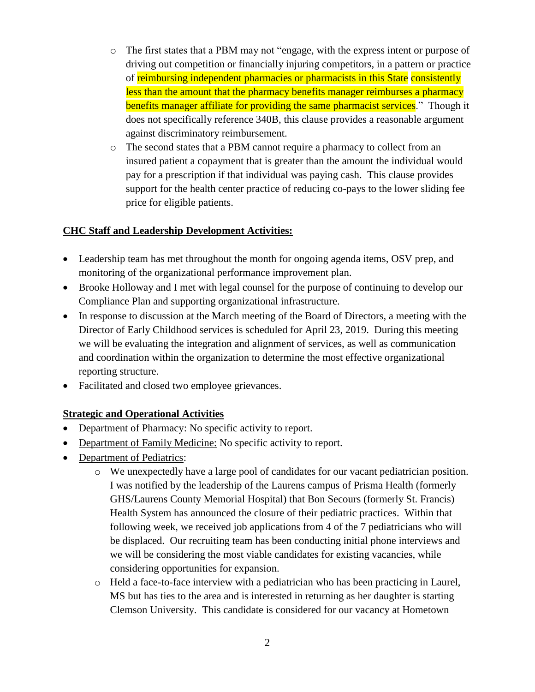- o The first states that a PBM may not "engage, with the express intent or purpose of driving out competition or financially injuring competitors, in a pattern or practice of reimbursing independent pharmacies or pharmacists in this State consistently less than the amount that the pharmacy benefits manager reimburses a pharmacy benefits manager affiliate for providing the same pharmacist services." Though it does not specifically reference 340B, this clause provides a reasonable argument against discriminatory reimbursement.
- o The second states that a PBM cannot require a pharmacy to collect from an insured patient a copayment that is greater than the amount the individual would pay for a prescription if that individual was paying cash. This clause provides support for the health center practice of reducing co-pays to the lower sliding fee price for eligible patients.

## **CHC Staff and Leadership Development Activities:**

- Leadership team has met throughout the month for ongoing agenda items, OSV prep, and monitoring of the organizational performance improvement plan.
- Brooke Holloway and I met with legal counsel for the purpose of continuing to develop our Compliance Plan and supporting organizational infrastructure.
- In response to discussion at the March meeting of the Board of Directors, a meeting with the Director of Early Childhood services is scheduled for April 23, 2019. During this meeting we will be evaluating the integration and alignment of services, as well as communication and coordination within the organization to determine the most effective organizational reporting structure.
- Facilitated and closed two employee grievances.

### **Strategic and Operational Activities**

- Department of Pharmacy: No specific activity to report.
- Department of Family Medicine: No specific activity to report.
- Department of Pediatrics:
	- o We unexpectedly have a large pool of candidates for our vacant pediatrician position. I was notified by the leadership of the Laurens campus of Prisma Health (formerly GHS/Laurens County Memorial Hospital) that Bon Secours (formerly St. Francis) Health System has announced the closure of their pediatric practices. Within that following week, we received job applications from 4 of the 7 pediatricians who will be displaced. Our recruiting team has been conducting initial phone interviews and we will be considering the most viable candidates for existing vacancies, while considering opportunities for expansion.
	- o Held a face-to-face interview with a pediatrician who has been practicing in Laurel, MS but has ties to the area and is interested in returning as her daughter is starting Clemson University. This candidate is considered for our vacancy at Hometown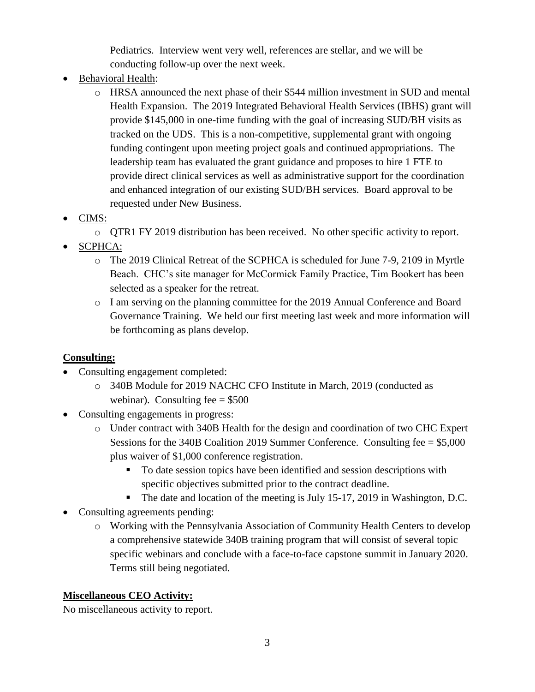Pediatrics. Interview went very well, references are stellar, and we will be conducting follow-up over the next week.

- Behavioral Health:
	- o HRSA announced the next phase of their \$544 million investment in SUD and mental Health Expansion. The 2019 Integrated Behavioral Health Services (IBHS) grant will provide \$145,000 in one-time funding with the goal of increasing SUD/BH visits as tracked on the UDS. This is a non-competitive, supplemental grant with ongoing funding contingent upon meeting project goals and continued appropriations. The leadership team has evaluated the grant guidance and proposes to hire 1 FTE to provide direct clinical services as well as administrative support for the coordination and enhanced integration of our existing SUD/BH services. Board approval to be requested under New Business.
- CIMS:
	- o QTR1 FY 2019 distribution has been received. No other specific activity to report.
- SCPHCA:
	- o The 2019 Clinical Retreat of the SCPHCA is scheduled for June 7-9, 2109 in Myrtle Beach. CHC's site manager for McCormick Family Practice, Tim Bookert has been selected as a speaker for the retreat.
	- o I am serving on the planning committee for the 2019 Annual Conference and Board Governance Training. We held our first meeting last week and more information will be forthcoming as plans develop.

# **Consulting:**

- Consulting engagement completed:
	- o 340B Module for 2019 NACHC CFO Institute in March, 2019 (conducted as webinar). Consulting fee  $= $500$
- Consulting engagements in progress:
	- o Under contract with 340B Health for the design and coordination of two CHC Expert Sessions for the 340B Coalition 2019 Summer Conference. Consulting fee  $= $5,000$ plus waiver of \$1,000 conference registration.
		- To date session topics have been identified and session descriptions with specific objectives submitted prior to the contract deadline.
		- The date and location of the meeting is July 15-17, 2019 in Washington, D.C.
- Consulting agreements pending:
	- o Working with the Pennsylvania Association of Community Health Centers to develop a comprehensive statewide 340B training program that will consist of several topic specific webinars and conclude with a face-to-face capstone summit in January 2020. Terms still being negotiated.

# **Miscellaneous CEO Activity:**

No miscellaneous activity to report.